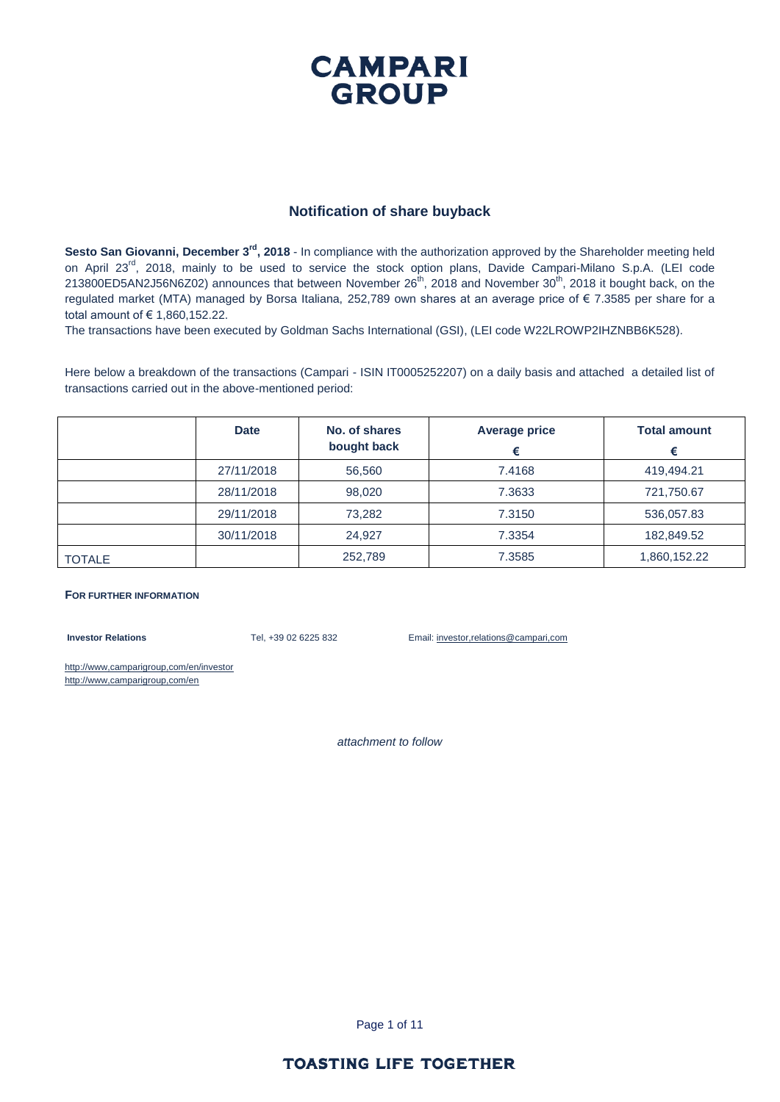#### **Notification of share buyback**

Sesto San Giovanni, December 3<sup>rd</sup>, 2018 - In compliance with the authorization approved by the Shareholder meeting held on April 23<sup>rd</sup>, 2018, mainly to be used to service the stock option plans, Davide Campari-Milano S.p.A. (LEI code 213800ED5AN2J56N6Z02) announces that between November 26<sup>th</sup>, 2018 and November 30<sup>th</sup>, 2018 it bought back, on the regulated market (MTA) managed by Borsa Italiana, 252,789 own shares at an average price of € 7.3585 per share for a total amount of € 1,860,152.22.

The transactions have been executed by Goldman Sachs International (GSI), (LEI code W22LROWP2IHZNBB6K528).

Here below a breakdown of the transactions (Campari - ISIN IT0005252207) on a daily basis and attached a detailed list of transactions carried out in the above-mentioned period:

|               | <b>Date</b> | No. of shares<br>bought back | <b>Average price</b><br>€ | <b>Total amount</b><br>€ |
|---------------|-------------|------------------------------|---------------------------|--------------------------|
|               | 27/11/2018  | 56,560                       | 7.4168                    | 419,494.21               |
|               | 28/11/2018  | 98,020                       | 7.3633                    | 721,750.67               |
|               | 29/11/2018  | 73,282                       | 7.3150                    | 536,057.83               |
|               | 30/11/2018  | 24.927                       | 7.3354                    | 182,849.52               |
| <b>TOTALE</b> |             | 252,789                      | 7.3585                    | 1,860,152.22             |

#### **FOR FURTHER INFORMATION**

**Investor Relations** Tel, +39 02 6225 832 Email: investor,relations@campari,com

http://www,camparigroup,com/en/investor http://www,camparigroup,com/en

*attachment to follow*

Page 1 of 11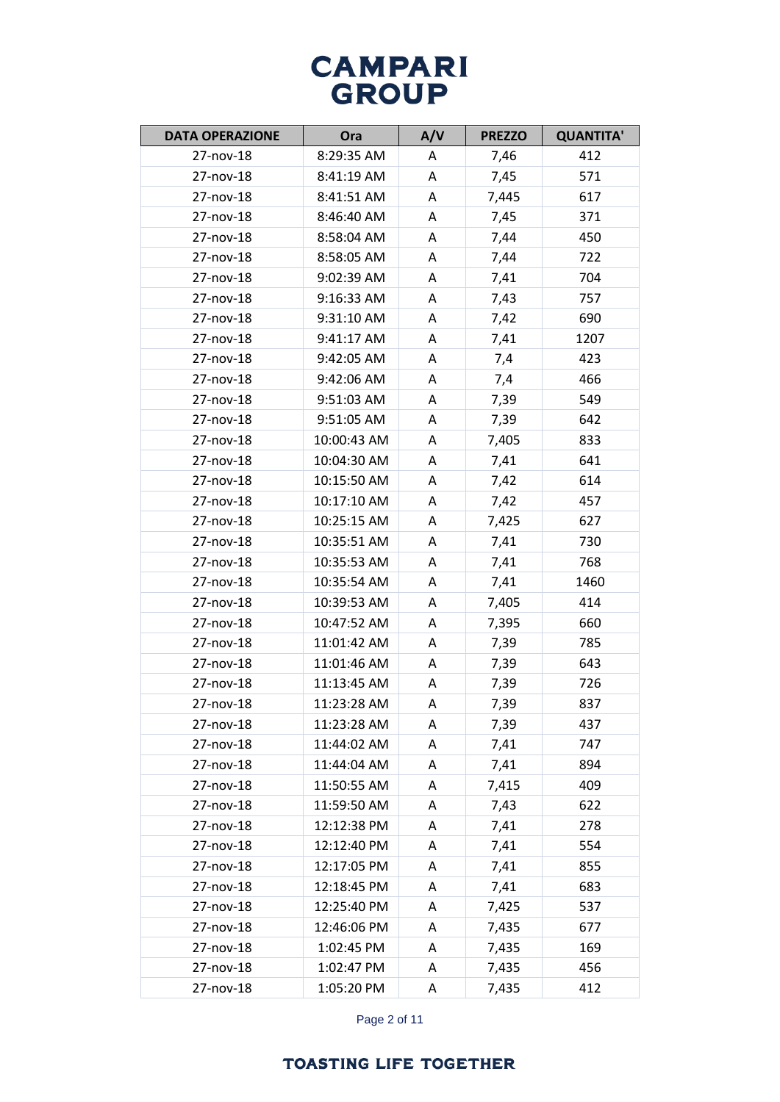| <b>DATA OPERAZIONE</b> | Ora         | A/V | <b>PREZZO</b> | <b>QUANTITA'</b> |
|------------------------|-------------|-----|---------------|------------------|
| 27-nov-18              | 8:29:35 AM  | A   | 7,46          | 412              |
| 27-nov-18              | 8:41:19 AM  | A   | 7,45          | 571              |
| 27-nov-18              | 8:41:51 AM  | A   | 7,445         | 617              |
| 27-nov-18              | 8:46:40 AM  | A   | 7,45          | 371              |
| 27-nov-18              | 8:58:04 AM  | A   | 7,44          | 450              |
| 27-nov-18              | 8:58:05 AM  | A   | 7,44          | 722              |
| 27-nov-18              | 9:02:39 AM  | A   | 7,41          | 704              |
| 27-nov-18              | 9:16:33 AM  | A   | 7,43          | 757              |
| 27-nov-18              | 9:31:10 AM  | A   | 7,42          | 690              |
| 27-nov-18              | 9:41:17 AM  | A   | 7,41          | 1207             |
| 27-nov-18              | 9:42:05 AM  | A   | 7,4           | 423              |
| 27-nov-18              | 9:42:06 AM  | A   | 7,4           | 466              |
| 27-nov-18              | 9:51:03 AM  | A   | 7,39          | 549              |
| 27-nov-18              | 9:51:05 AM  | A   | 7,39          | 642              |
| 27-nov-18              | 10:00:43 AM | A   | 7,405         | 833              |
| 27-nov-18              | 10:04:30 AM | A   | 7,41          | 641              |
| 27-nov-18              | 10:15:50 AM | A   | 7,42          | 614              |
| 27-nov-18              | 10:17:10 AM | A   | 7,42          | 457              |
| 27-nov-18              | 10:25:15 AM | A   | 7,425         | 627              |
| 27-nov-18              | 10:35:51 AM | Α   | 7,41          | 730              |
| 27-nov-18              | 10:35:53 AM | A   | 7,41          | 768              |
| 27-nov-18              | 10:35:54 AM | A   | 7,41          | 1460             |
| 27-nov-18              | 10:39:53 AM | A   | 7,405         | 414              |
| 27-nov-18              | 10:47:52 AM | A   | 7,395         | 660              |
| 27-nov-18              | 11:01:42 AM | A   | 7,39          | 785              |
| 27-nov-18              | 11:01:46 AM | A   | 7,39          | 643              |
| 27-nov-18              | 11:13:45 AM | A   | 7,39          | 726              |
| 27-nov-18              | 11:23:28 AM | A   | 7,39          | 837              |
| 27-nov-18              | 11:23:28 AM | A   | 7,39          | 437              |
| 27-nov-18              | 11:44:02 AM | A   | 7,41          | 747              |
| 27-nov-18              | 11:44:04 AM | A   | 7,41          | 894              |
| 27-nov-18              | 11:50:55 AM | Α   | 7,415         | 409              |
| 27-nov-18              | 11:59:50 AM | Α   | 7,43          | 622              |
| 27-nov-18              | 12:12:38 PM | Α   | 7,41          | 278              |
| 27-nov-18              | 12:12:40 PM | A   | 7,41          | 554              |
| 27-nov-18              | 12:17:05 PM | A   | 7,41          | 855              |
| 27-nov-18              | 12:18:45 PM | A   | 7,41          | 683              |
| 27-nov-18              | 12:25:40 PM | Α   | 7,425         | 537              |
| 27-nov-18              | 12:46:06 PM | A   | 7,435         | 677              |
| 27-nov-18              | 1:02:45 PM  | A   | 7,435         | 169              |
| 27-nov-18              | 1:02:47 PM  | Α   | 7,435         | 456              |
| 27-nov-18              | 1:05:20 PM  | Α   | 7,435         | 412              |

Page 2 of 11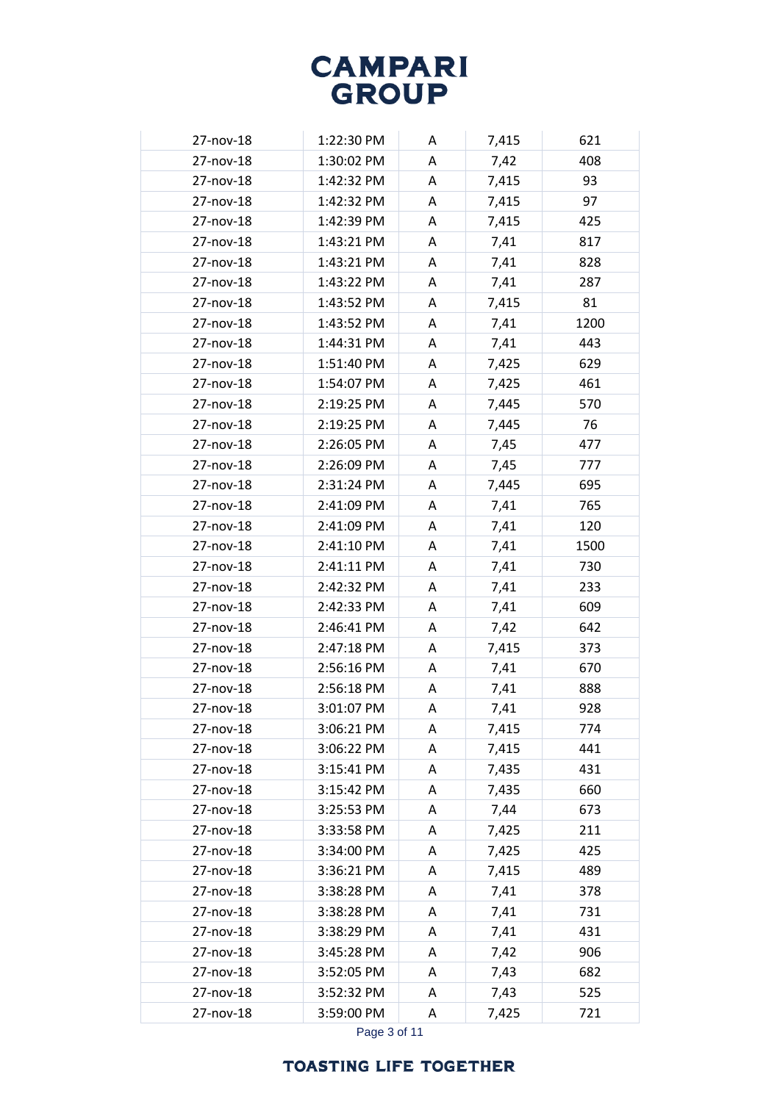| 27-nov-18 | 1:22:30 PM | A      | 7,415 | 621         |
|-----------|------------|--------|-------|-------------|
| 27-nov-18 | 1:30:02 PM | A      | 7,42  | 408         |
| 27-nov-18 | 1:42:32 PM | Α      | 7,415 | 93          |
| 27-nov-18 | 1:42:32 PM | А      | 7,415 | 97          |
| 27-nov-18 | 1:42:39 PM | A      | 7,415 | 425         |
| 27-nov-18 | 1:43:21 PM | A      | 7,41  | 817         |
| 27-nov-18 | 1:43:21 PM | A      | 7,41  | 828         |
| 27-nov-18 | 1:43:22 PM | A      | 7,41  | 287         |
| 27-nov-18 | 1:43:52 PM | A      | 7,415 | 81          |
| 27-nov-18 | 1:43:52 PM | A      | 7,41  | 1200        |
| 27-nov-18 | 1:44:31 PM | А      | 7,41  | 443         |
| 27-nov-18 | 1:51:40 PM | A      | 7,425 | 629         |
| 27-nov-18 | 1:54:07 PM | Α      | 7,425 | 461         |
| 27-nov-18 | 2:19:25 PM | A      | 7,445 | 570         |
| 27-nov-18 | 2:19:25 PM | A      | 7,445 | 76          |
| 27-nov-18 | 2:26:05 PM | A      | 7,45  | 477         |
| 27-nov-18 | 2:26:09 PM | A      | 7,45  | 777         |
| 27-nov-18 | 2:31:24 PM | Α      | 7,445 | 695         |
| 27-nov-18 | 2:41:09 PM | A      | 7,41  | 765         |
| 27-nov-18 | 2:41:09 PM |        |       |             |
| 27-nov-18 | 2:41:10 PM | Α<br>А | 7,41  | 120<br>1500 |
|           |            |        | 7,41  |             |
| 27-nov-18 | 2:41:11 PM | A      | 7,41  | 730         |
| 27-nov-18 | 2:42:32 PM | А      | 7,41  | 233         |
| 27-nov-18 | 2:42:33 PM | A      | 7,41  | 609         |
| 27-nov-18 | 2:46:41 PM | A      | 7,42  | 642         |
| 27-nov-18 | 2:47:18 PM | А      | 7,415 | 373         |
| 27-nov-18 | 2:56:16 PM | Α      | 7,41  | 670         |
| 27-nov-18 | 2:56:18 PM | A      | 7,41  | 888         |
| 27-nov-18 | 3:01:07 PM | Α      | 7,41  | 928         |
| 27-nov-18 | 3:06:21 PM | Α      | 7,415 | 774         |
| 27-nov-18 | 3:06:22 PM | Α      | 7,415 | 441         |
| 27-nov-18 | 3:15:41 PM | Α      | 7,435 | 431         |
| 27-nov-18 | 3:15:42 PM | А      | 7,435 | 660         |
| 27-nov-18 | 3:25:53 PM | Α      | 7,44  | 673         |
| 27-nov-18 | 3:33:58 PM | Α      | 7,425 | 211         |
| 27-nov-18 | 3:34:00 PM | A      | 7,425 | 425         |
| 27-nov-18 | 3:36:21 PM | Α      | 7,415 | 489         |
| 27-nov-18 | 3:38:28 PM | А      | 7,41  | 378         |
| 27-nov-18 | 3:38:28 PM | Α      | 7,41  | 731         |
| 27-nov-18 | 3:38:29 PM | А      | 7,41  | 431         |
| 27-nov-18 | 3:45:28 PM | A      | 7,42  | 906         |
| 27-nov-18 | 3:52:05 PM | Α      | 7,43  | 682         |
| 27-nov-18 | 3:52:32 PM | Α      | 7,43  | 525         |
| 27-nov-18 | 3:59:00 PM | A      | 7,425 | 721         |

Page 3 of 11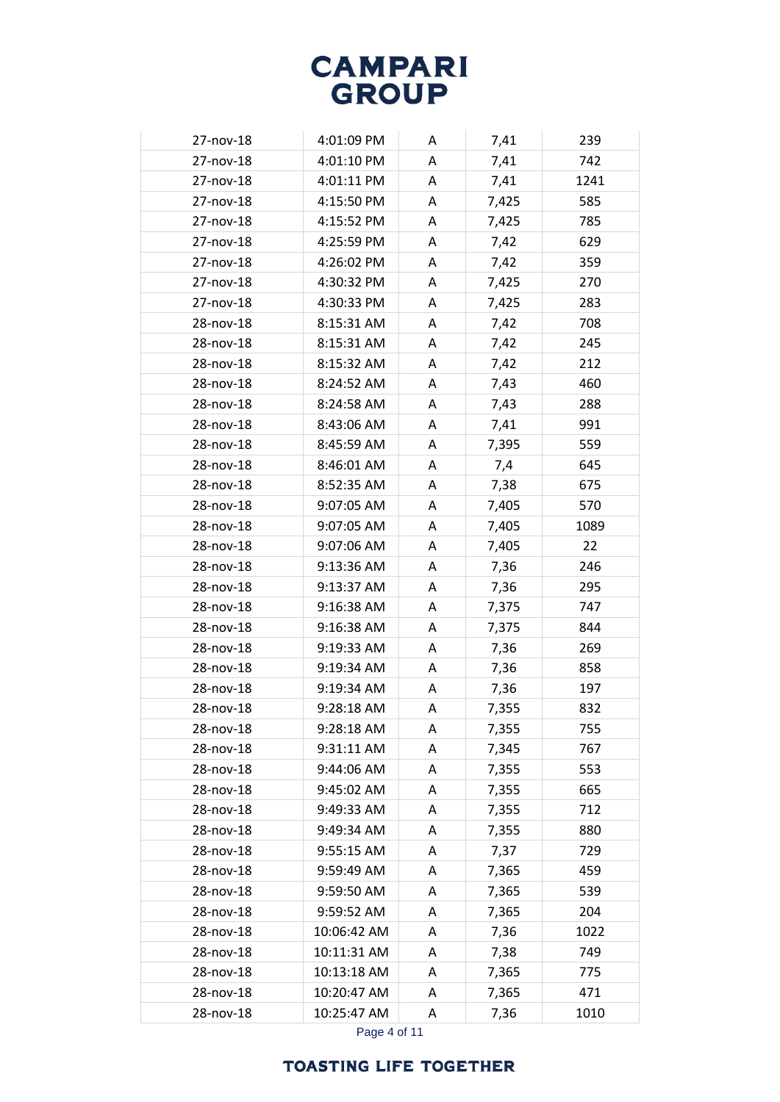| 27-nov-18 | 4:01:09 PM  | A | 7,41  | 239  |
|-----------|-------------|---|-------|------|
| 27-nov-18 | 4:01:10 PM  | A | 7,41  | 742  |
| 27-nov-18 | 4:01:11 PM  | A | 7,41  | 1241 |
| 27-nov-18 | 4:15:50 PM  | A | 7,425 | 585  |
| 27-nov-18 | 4:15:52 PM  | A | 7,425 | 785  |
| 27-nov-18 | 4:25:59 PM  | A | 7,42  | 629  |
| 27-nov-18 | 4:26:02 PM  | A | 7,42  | 359  |
| 27-nov-18 | 4:30:32 PM  | A | 7,425 | 270  |
| 27-nov-18 | 4:30:33 PM  | A | 7,425 | 283  |
| 28-nov-18 | 8:15:31 AM  | A | 7,42  | 708  |
| 28-nov-18 | 8:15:31 AM  | A | 7,42  | 245  |
| 28-nov-18 | 8:15:32 AM  | A | 7,42  | 212  |
| 28-nov-18 | 8:24:52 AM  | A | 7,43  | 460  |
| 28-nov-18 | 8:24:58 AM  | A | 7,43  | 288  |
| 28-nov-18 | 8:43:06 AM  | A | 7,41  | 991  |
| 28-nov-18 | 8:45:59 AM  | A | 7,395 | 559  |
| 28-nov-18 | 8:46:01 AM  | A | 7,4   | 645  |
| 28-nov-18 | 8:52:35 AM  | A | 7,38  | 675  |
| 28-nov-18 | 9:07:05 AM  | A | 7,405 | 570  |
| 28-nov-18 | 9:07:05 AM  | A | 7,405 | 1089 |
| 28-nov-18 | 9:07:06 AM  | A | 7,405 | 22   |
| 28-nov-18 | 9:13:36 AM  | A | 7,36  | 246  |
| 28-nov-18 | 9:13:37 AM  | A | 7,36  | 295  |
| 28-nov-18 | 9:16:38 AM  | A | 7,375 | 747  |
| 28-nov-18 | 9:16:38 AM  | A | 7,375 | 844  |
| 28-nov-18 | 9:19:33 AM  | A | 7,36  | 269  |
| 28-nov-18 | 9:19:34 AM  | A | 7,36  | 858  |
| 28-nov-18 | 9:19:34 AM  | A | 7,36  | 197  |
| 28-nov-18 | 9:28:18 AM  | А | 7,355 | 832  |
| 28-nov-18 | 9:28:18 AM  | Α | 7,355 | 755  |
| 28-nov-18 | 9:31:11 AM  | Α | 7,345 | 767  |
| 28-nov-18 | 9:44:06 AM  | Α | 7,355 | 553  |
| 28-nov-18 | 9:45:02 AM  | Α | 7,355 | 665  |
| 28-nov-18 | 9:49:33 AM  | Α | 7,355 | 712  |
| 28-nov-18 | 9:49:34 AM  | Α | 7,355 | 880  |
| 28-nov-18 | 9:55:15 AM  | A | 7,37  | 729  |
| 28-nov-18 | 9:59:49 AM  | Α | 7,365 | 459  |
| 28-nov-18 | 9:59:50 AM  | Α | 7,365 | 539  |
| 28-nov-18 | 9:59:52 AM  | A | 7,365 | 204  |
| 28-nov-18 | 10:06:42 AM | Α | 7,36  | 1022 |
| 28-nov-18 | 10:11:31 AM | Α | 7,38  | 749  |
| 28-nov-18 | 10:13:18 AM | Α | 7,365 | 775  |
| 28-nov-18 | 10:20:47 AM | A | 7,365 | 471  |
| 28-nov-18 | 10:25:47 AM | Α | 7,36  | 1010 |
|           |             |   |       |      |

Page 4 of 11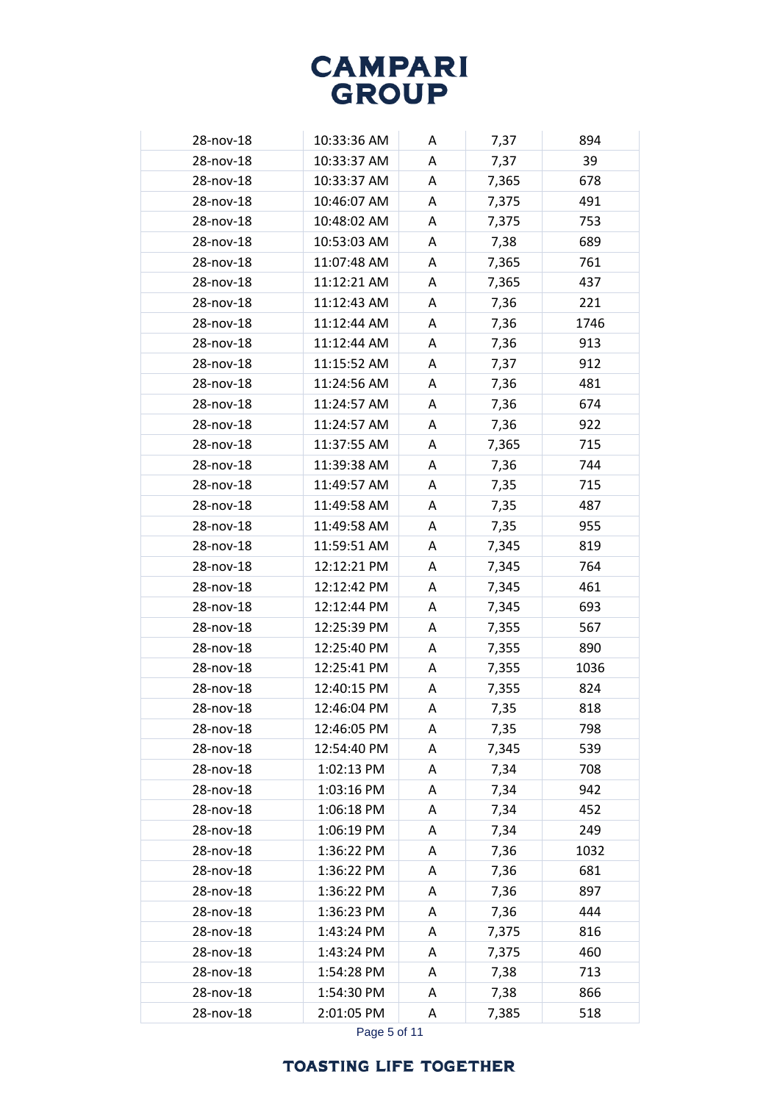| 28-nov-18 | 10:33:36 AM | A | 7,37  | 894  |
|-----------|-------------|---|-------|------|
| 28-nov-18 | 10:33:37 AM | A | 7,37  | 39   |
| 28-nov-18 | 10:33:37 AM | A | 7,365 | 678  |
| 28-nov-18 | 10:46:07 AM | A | 7,375 | 491  |
| 28-nov-18 | 10:48:02 AM | Α | 7,375 | 753  |
| 28-nov-18 | 10:53:03 AM | Α | 7,38  | 689  |
| 28-nov-18 | 11:07:48 AM |   |       | 761  |
| 28-nov-18 | 11:12:21 AM | Α | 7,365 |      |
|           |             | A | 7,365 | 437  |
| 28-nov-18 | 11:12:43 AM | A | 7,36  | 221  |
| 28-nov-18 | 11:12:44 AM | A | 7,36  | 1746 |
| 28-nov-18 | 11:12:44 AM | A | 7,36  | 913  |
| 28-nov-18 | 11:15:52 AM | Α | 7,37  | 912  |
| 28-nov-18 | 11:24:56 AM | A | 7,36  | 481  |
| 28-nov-18 | 11:24:57 AM | A | 7,36  | 674  |
| 28-nov-18 | 11:24:57 AM | A | 7,36  | 922  |
| 28-nov-18 | 11:37:55 AM | Α | 7,365 | 715  |
| 28-nov-18 | 11:39:38 AM | Α | 7,36  | 744  |
| 28-nov-18 | 11:49:57 AM | Α | 7,35  | 715  |
| 28-nov-18 | 11:49:58 AM | A | 7,35  | 487  |
| 28-nov-18 | 11:49:58 AM | A | 7,35  | 955  |
| 28-nov-18 | 11:59:51 AM | А | 7,345 | 819  |
| 28-nov-18 | 12:12:21 PM | A | 7,345 | 764  |
| 28-nov-18 | 12:12:42 PM | А | 7,345 | 461  |
| 28-nov-18 | 12:12:44 PM | Α | 7,345 | 693  |
| 28-nov-18 | 12:25:39 PM | A | 7,355 | 567  |
| 28-nov-18 | 12:25:40 PM | A | 7,355 | 890  |
| 28-nov-18 | 12:25:41 PM | A | 7,355 | 1036 |
| 28-nov-18 | 12:40:15 PM | A | 7,355 | 824  |
| 28-nov-18 | 12:46:04 PM | Α | 7,35  | 818  |
| 28-nov-18 | 12:46:05 PM | Α | 7,35  | 798  |
| 28-nov-18 | 12:54:40 PM | Α | 7,345 | 539  |
| 28-nov-18 | 1:02:13 PM  | Α | 7,34  | 708  |
| 28-nov-18 | 1:03:16 PM  | А | 7,34  | 942  |
| 28-nov-18 | 1:06:18 PM  | Α | 7,34  | 452  |
| 28-nov-18 | 1:06:19 PM  | Α | 7,34  | 249  |
| 28-nov-18 | 1:36:22 PM  | A | 7,36  | 1032 |
| 28-nov-18 | 1:36:22 PM  | Α | 7,36  | 681  |
| 28-nov-18 | 1:36:22 PM  | А | 7,36  | 897  |
| 28-nov-18 | 1:36:23 PM  | A | 7,36  | 444  |
| 28-nov-18 | 1:43:24 PM  | А | 7,375 | 816  |
| 28-nov-18 | 1:43:24 PM  | Α | 7,375 | 460  |
| 28-nov-18 | 1:54:28 PM  | Α | 7,38  | 713  |
| 28-nov-18 | 1:54:30 PM  | Α | 7,38  | 866  |
| 28-nov-18 | 2:01:05 PM  |   |       |      |
|           |             | A | 7,385 | 518  |

Page 5 of 11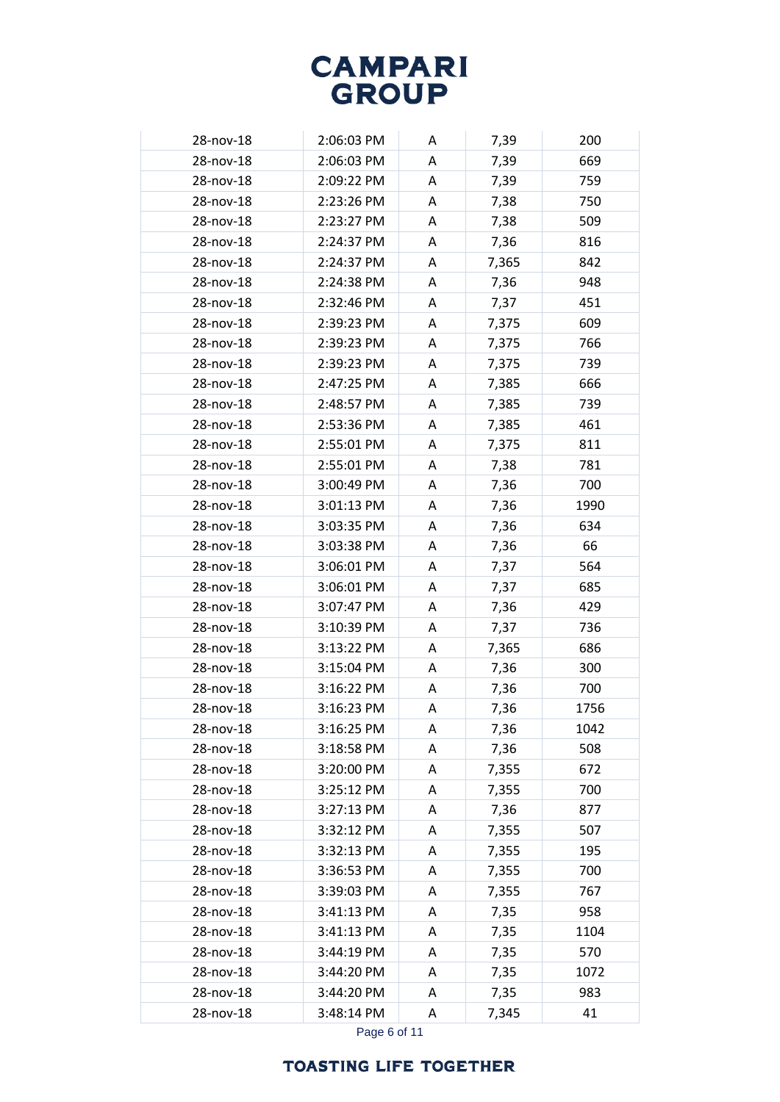| 28-nov-18 | 2:06:03 PM | A | 7,39  | 200  |
|-----------|------------|---|-------|------|
| 28-nov-18 | 2:06:03 PM | A | 7,39  | 669  |
| 28-nov-18 | 2:09:22 PM | Α | 7,39  | 759  |
| 28-nov-18 | 2:23:26 PM | A | 7,38  | 750  |
| 28-nov-18 | 2:23:27 PM | A | 7,38  | 509  |
| 28-nov-18 | 2:24:37 PM | A | 7,36  | 816  |
| 28-nov-18 | 2:24:37 PM | A | 7,365 | 842  |
| 28-nov-18 | 2:24:38 PM | A | 7,36  | 948  |
| 28-nov-18 | 2:32:46 PM | A | 7,37  | 451  |
| 28-nov-18 | 2:39:23 PM | A | 7,375 | 609  |
| 28-nov-18 | 2:39:23 PM | A | 7,375 | 766  |
| 28-nov-18 | 2:39:23 PM | A | 7,375 | 739  |
| 28-nov-18 | 2:47:25 PM | A | 7,385 | 666  |
| 28-nov-18 | 2:48:57 PM | A | 7,385 | 739  |
| 28-nov-18 | 2:53:36 PM | A | 7,385 | 461  |
| 28-nov-18 | 2:55:01 PM | A | 7,375 | 811  |
| 28-nov-18 | 2:55:01 PM | A | 7,38  | 781  |
| 28-nov-18 | 3:00:49 PM | A | 7,36  | 700  |
| 28-nov-18 | 3:01:13 PM | A | 7,36  | 1990 |
| 28-nov-18 | 3:03:35 PM | Α | 7,36  | 634  |
| 28-nov-18 | 3:03:38 PM | A | 7,36  | 66   |
| 28-nov-18 | 3:06:01 PM | A | 7,37  | 564  |
| 28-nov-18 | 3:06:01 PM | A | 7,37  | 685  |
| 28-nov-18 | 3:07:47 PM | A | 7,36  | 429  |
| 28-nov-18 | 3:10:39 PM | A | 7,37  | 736  |
| 28-nov-18 | 3:13:22 PM | A | 7,365 | 686  |
| 28-nov-18 | 3:15:04 PM | A | 7,36  | 300  |
| 28-nov-18 | 3:16:22 PM | A | 7,36  | 700  |
| 28-nov-18 | 3:16:23 PM | Α | 7,36  | 1756 |
| 28-nov-18 | 3:16:25 PM | A | 7,36  | 1042 |
| 28-nov-18 | 3:18:58 PM | Α | 7,36  | 508  |
| 28-nov-18 | 3:20:00 PM | A | 7,355 | 672  |
| 28-nov-18 | 3:25:12 PM | А | 7,355 | 700  |
| 28-nov-18 | 3:27:13 PM | A | 7,36  | 877  |
| 28-nov-18 | 3:32:12 PM | А | 7,355 | 507  |
| 28-nov-18 | 3:32:13 PM | Α | 7,355 | 195  |
| 28-nov-18 | 3:36:53 PM | Α | 7,355 | 700  |
| 28-nov-18 | 3:39:03 PM | А | 7,355 | 767  |
| 28-nov-18 | 3:41:13 PM | A | 7,35  | 958  |
| 28-nov-18 | 3:41:13 PM | Α | 7,35  | 1104 |
| 28-nov-18 | 3:44:19 PM | Α | 7,35  | 570  |
| 28-nov-18 | 3:44:20 PM | Α | 7,35  | 1072 |
| 28-nov-18 | 3:44:20 PM | Α | 7,35  | 983  |
| 28-nov-18 | 3:48:14 PM | A | 7,345 | 41   |

Page 6 of 11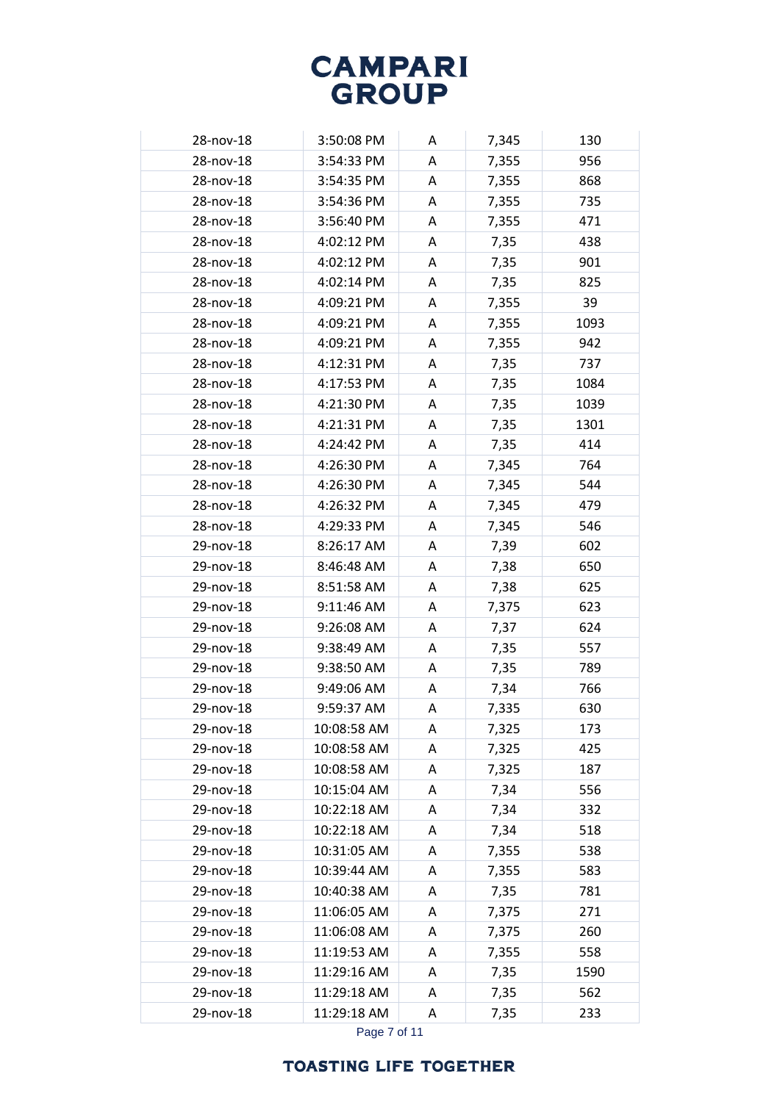| 28-nov-18 | 3:50:08 PM  | A | 7,345 | 130  |
|-----------|-------------|---|-------|------|
| 28-nov-18 | 3:54:33 PM  | A | 7,355 | 956  |
| 28-nov-18 | 3:54:35 PM  | A | 7,355 | 868  |
| 28-nov-18 | 3:54:36 PM  | A | 7,355 | 735  |
| 28-nov-18 | 3:56:40 PM  | A | 7,355 | 471  |
| 28-nov-18 | 4:02:12 PM  | A | 7,35  | 438  |
| 28-nov-18 | 4:02:12 PM  | A | 7,35  | 901  |
| 28-nov-18 | 4:02:14 PM  | A | 7,35  | 825  |
| 28-nov-18 | 4:09:21 PM  | A | 7,355 | 39   |
| 28-nov-18 | 4:09:21 PM  | A | 7,355 | 1093 |
| 28-nov-18 | 4:09:21 PM  | Α | 7,355 | 942  |
| 28-nov-18 | 4:12:31 PM  | A | 7,35  | 737  |
| 28-nov-18 | 4:17:53 PM  | A | 7,35  | 1084 |
| 28-nov-18 | 4:21:30 PM  | A | 7,35  | 1039 |
| 28-nov-18 | 4:21:31 PM  | A | 7,35  | 1301 |
| 28-nov-18 | 4:24:42 PM  | A | 7,35  | 414  |
| 28-nov-18 | 4:26:30 PM  | Α | 7,345 | 764  |
| 28-nov-18 | 4:26:30 PM  | A | 7,345 | 544  |
| 28-nov-18 | 4:26:32 PM  | A | 7,345 | 479  |
| 28-nov-18 | 4:29:33 PM  | A | 7,345 | 546  |
| 29-nov-18 | 8:26:17 AM  | A | 7,39  | 602  |
| 29-nov-18 | 8:46:48 AM  | A | 7,38  | 650  |
| 29-nov-18 | 8:51:58 AM  | A | 7,38  | 625  |
| 29-nov-18 | 9:11:46 AM  | Α | 7,375 | 623  |
| 29-nov-18 | 9:26:08 AM  | A | 7,37  | 624  |
| 29-nov-18 | 9:38:49 AM  | A | 7,35  | 557  |
| 29-nov-18 | 9:38:50 AM  | A | 7,35  | 789  |
| 29-nov-18 | 9:49:06 AM  | A | 7,34  | 766  |
| 29-nov-18 | 9:59:37 AM  | Α | 7,335 | 630  |
| 29-nov-18 | 10:08:58 AM | A | 7,325 | 173  |
| 29-nov-18 | 10:08:58 AM | Α | 7,325 | 425  |
| 29-nov-18 | 10:08:58 AM | A | 7,325 | 187  |
| 29-nov-18 | 10:15:04 AM | Α | 7,34  | 556  |
| 29-nov-18 | 10:22:18 AM | A | 7,34  | 332  |
| 29-nov-18 | 10:22:18 AM | Α | 7,34  | 518  |
| 29-nov-18 | 10:31:05 AM | A | 7,355 | 538  |
| 29-nov-18 | 10:39:44 AM | Α | 7,355 | 583  |
| 29-nov-18 | 10:40:38 AM | Α | 7,35  | 781  |
| 29-nov-18 | 11:06:05 AM | A | 7,375 | 271  |
| 29-nov-18 | 11:06:08 AM | Α | 7,375 | 260  |
| 29-nov-18 | 11:19:53 AM | A | 7,355 | 558  |
| 29-nov-18 | 11:29:16 AM | Α | 7,35  | 1590 |
| 29-nov-18 | 11:29:18 AM | Α | 7,35  | 562  |
| 29-nov-18 | 11:29:18 AM | A | 7,35  | 233  |
|           |             |   |       |      |

Page 7 of 11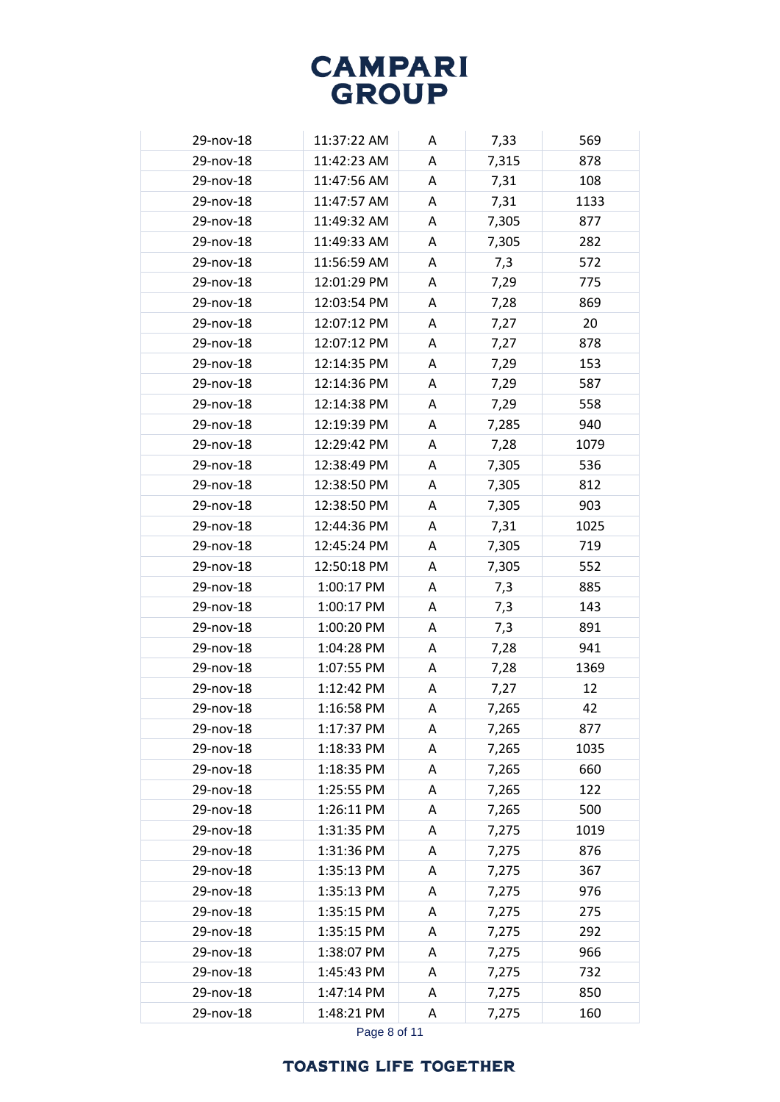| 29-nov-18 | 11:37:22 AM | A | 7,33  | 569  |
|-----------|-------------|---|-------|------|
| 29-nov-18 | 11:42:23 AM | A | 7,315 | 878  |
| 29-nov-18 | 11:47:56 AM | A | 7,31  | 108  |
| 29-nov-18 | 11:47:57 AM | А | 7,31  | 1133 |
| 29-nov-18 | 11:49:32 AM | A | 7,305 | 877  |
| 29-nov-18 | 11:49:33 AM | Α | 7,305 | 282  |
| 29-nov-18 | 11:56:59 AM | A | 7,3   | 572  |
| 29-nov-18 | 12:01:29 PM | A | 7,29  | 775  |
| 29-nov-18 | 12:03:54 PM | A | 7,28  | 869  |
| 29-nov-18 | 12:07:12 PM | A | 7,27  | 20   |
| 29-nov-18 | 12:07:12 PM | А | 7,27  | 878  |
| 29-nov-18 | 12:14:35 PM | А | 7,29  | 153  |
| 29-nov-18 | 12:14:36 PM | A | 7,29  | 587  |
| 29-nov-18 | 12:14:38 PM | A | 7,29  | 558  |
| 29-nov-18 | 12:19:39 PM | A | 7,285 | 940  |
| 29-nov-18 | 12:29:42 PM | A | 7,28  | 1079 |
| 29-nov-18 | 12:38:49 PM | A | 7,305 | 536  |
| 29-nov-18 | 12:38:50 PM | Α | 7,305 | 812  |
| 29-nov-18 | 12:38:50 PM | A | 7,305 | 903  |
| 29-nov-18 | 12:44:36 PM | A | 7,31  | 1025 |
| 29-nov-18 | 12:45:24 PM | А | 7,305 | 719  |
| 29-nov-18 | 12:50:18 PM | A | 7,305 | 552  |
| 29-nov-18 | 1:00:17 PM  | А | 7,3   | 885  |
| 29-nov-18 | 1:00:17 PM  | A | 7,3   | 143  |
| 29-nov-18 | 1:00:20 PM  | A | 7,3   | 891  |
| 29-nov-18 | 1:04:28 PM  | A | 7,28  | 941  |
| 29-nov-18 | 1:07:55 PM  | A | 7,28  | 1369 |
| 29-nov-18 | 1:12:42 PM  | А | 7,27  | 12   |
| 29-nov-18 | 1:16:58 PM  | Α | 7,265 | 42   |
| 29-nov-18 | 1:17:37 PM  | Α | 7,265 | 877  |
| 29-nov-18 | 1:18:33 PM  | Α | 7,265 | 1035 |
| 29-nov-18 | 1:18:35 PM  | Α | 7,265 | 660  |
| 29-nov-18 | 1:25:55 PM  | А | 7,265 | 122  |
| 29-nov-18 | 1:26:11 PM  | Α | 7,265 | 500  |
| 29-nov-18 | 1:31:35 PM  | Α | 7,275 | 1019 |
| 29-nov-18 | 1:31:36 PM  | A | 7,275 | 876  |
| 29-nov-18 | 1:35:13 PM  | Α | 7,275 | 367  |
| 29-nov-18 | 1:35:13 PM  | А | 7,275 | 976  |
| 29-nov-18 | 1:35:15 PM  | Α | 7,275 | 275  |
| 29-nov-18 | 1:35:15 PM  | А | 7,275 | 292  |
| 29-nov-18 | 1:38:07 PM  | A | 7,275 | 966  |
| 29-nov-18 | 1:45:43 PM  | Α | 7,275 | 732  |
| 29-nov-18 | 1:47:14 PM  | Α | 7,275 | 850  |
| 29-nov-18 | 1:48:21 PM  | A | 7,275 | 160  |

Page 8 of 11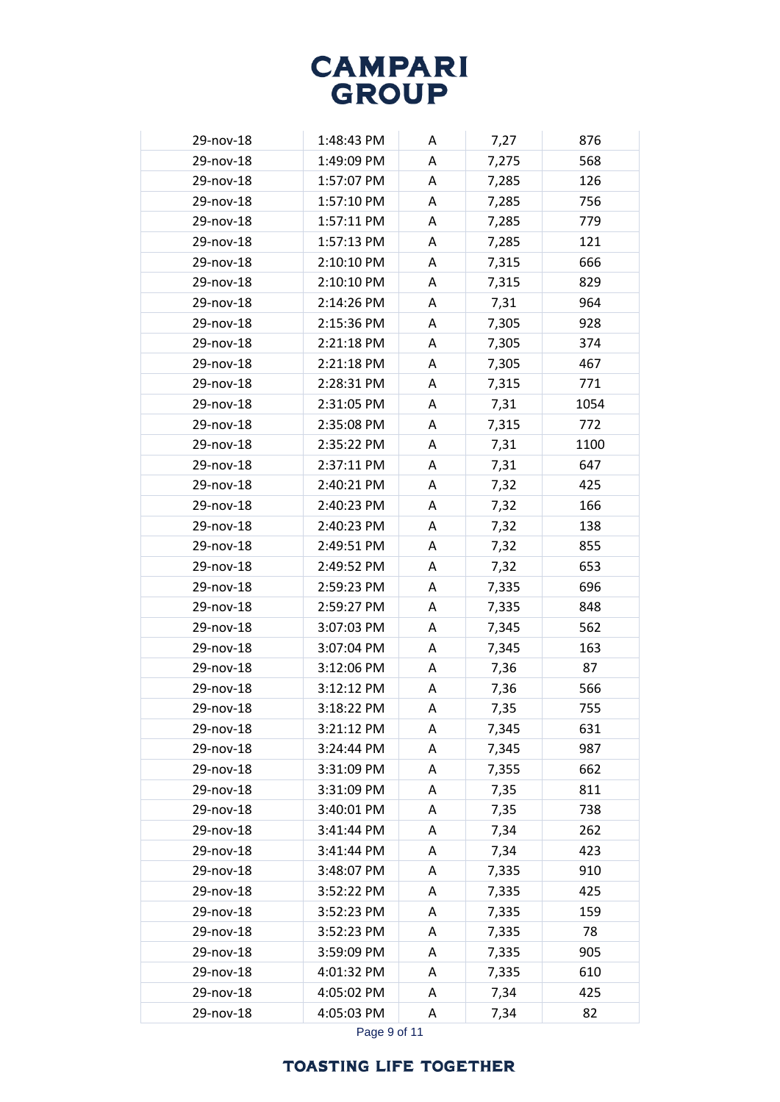| 29-nov-18 | 1:48:43 PM | A | 7,27  | 876  |
|-----------|------------|---|-------|------|
| 29-nov-18 | 1:49:09 PM | A | 7,275 | 568  |
| 29-nov-18 | 1:57:07 PM | A | 7,285 | 126  |
| 29-nov-18 | 1:57:10 PM | A | 7,285 | 756  |
| 29-nov-18 | 1:57:11 PM | A | 7,285 | 779  |
| 29-nov-18 | 1:57:13 PM | A | 7,285 | 121  |
| 29-nov-18 | 2:10:10 PM | A | 7,315 | 666  |
| 29-nov-18 | 2:10:10 PM | A | 7,315 | 829  |
| 29-nov-18 | 2:14:26 PM | A | 7,31  | 964  |
| 29-nov-18 | 2:15:36 PM | A | 7,305 | 928  |
| 29-nov-18 | 2:21:18 PM | А | 7,305 | 374  |
| 29-nov-18 | 2:21:18 PM | A | 7,305 | 467  |
| 29-nov-18 | 2:28:31 PM | A | 7,315 | 771  |
| 29-nov-18 | 2:31:05 PM | A | 7,31  | 1054 |
| 29-nov-18 | 2:35:08 PM | A | 7,315 | 772  |
| 29-nov-18 | 2:35:22 PM | A | 7,31  | 1100 |
| 29-nov-18 | 2:37:11 PM | A | 7,31  | 647  |
| 29-nov-18 | 2:40:21 PM | A | 7,32  | 425  |
| 29-nov-18 | 2:40:23 PM | A | 7,32  | 166  |
| 29-nov-18 | 2:40:23 PM | Α | 7,32  | 138  |
| 29-nov-18 | 2:49:51 PM | A | 7,32  | 855  |
| 29-nov-18 | 2:49:52 PM | A | 7,32  | 653  |
| 29-nov-18 | 2:59:23 PM | A | 7,335 | 696  |
| 29-nov-18 | 2:59:27 PM | A | 7,335 | 848  |
| 29-nov-18 | 3:07:03 PM | A | 7,345 | 562  |
| 29-nov-18 | 3:07:04 PM | A | 7,345 | 163  |
| 29-nov-18 | 3:12:06 PM | A | 7,36  | 87   |
| 29-nov-18 | 3:12:12 PM | A | 7,36  | 566  |
| 29-nov-18 | 3:18:22 PM | Α | 7,35  | 755  |
| 29-nov-18 | 3:21:12 PM | Α | 7,345 | 631  |
| 29-nov-18 | 3:24:44 PM | Α | 7,345 | 987  |
| 29-nov-18 | 3:31:09 PM | Α | 7,355 | 662  |
| 29-nov-18 | 3:31:09 PM | Α | 7,35  | 811  |
| 29-nov-18 | 3:40:01 PM | Α | 7,35  | 738  |
| 29-nov-18 | 3:41:44 PM | Α | 7,34  | 262  |
| 29-nov-18 | 3:41:44 PM | Α | 7,34  | 423  |
| 29-nov-18 | 3:48:07 PM | Α | 7,335 | 910  |
| 29-nov-18 | 3:52:22 PM | Α | 7,335 | 425  |
| 29-nov-18 | 3:52:23 PM | Α | 7,335 | 159  |
| 29-nov-18 | 3:52:23 PM | Α | 7,335 | 78   |
| 29-nov-18 | 3:59:09 PM | Α | 7,335 | 905  |
| 29-nov-18 | 4:01:32 PM | Α | 7,335 | 610  |
| 29-nov-18 | 4:05:02 PM | Α | 7,34  | 425  |
| 29-nov-18 | 4:05:03 PM | Α | 7,34  | 82   |

Page 9 of 11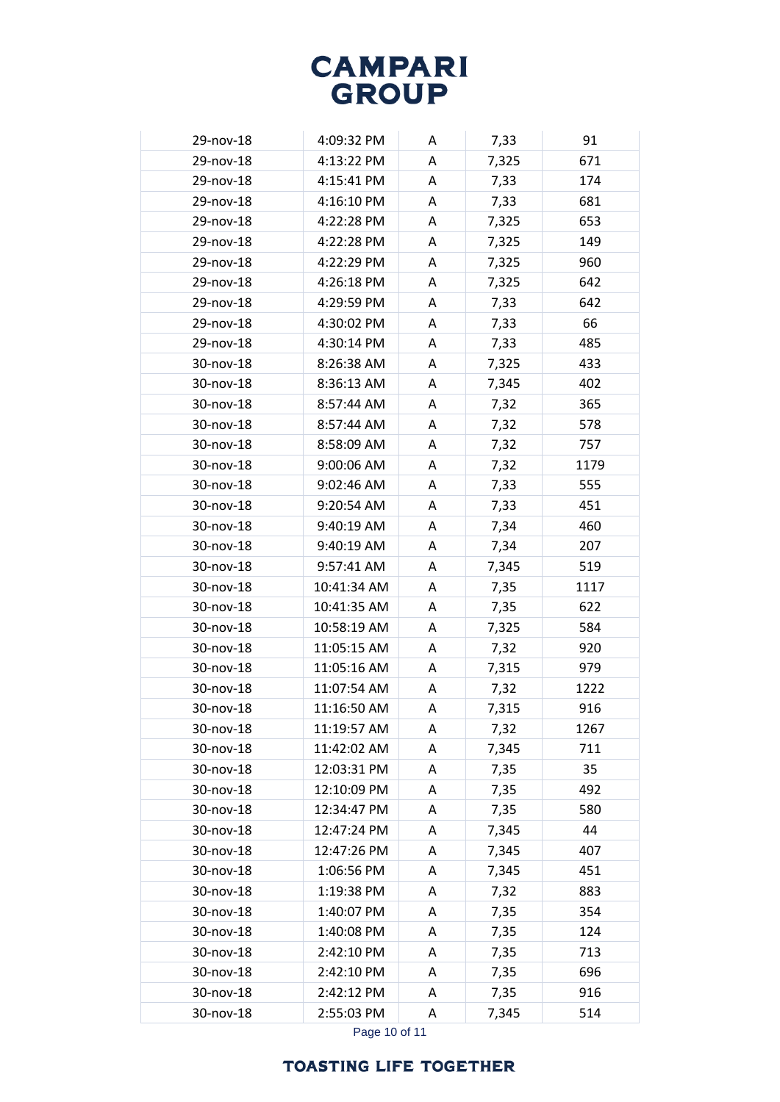| 29-nov-18 | 4:09:32 PM  | A | 7,33  | 91   |
|-----------|-------------|---|-------|------|
| 29-nov-18 | 4:13:22 PM  | A | 7,325 | 671  |
| 29-nov-18 | 4:15:41 PM  | Α | 7,33  | 174  |
| 29-nov-18 | 4:16:10 PM  | A | 7,33  | 681  |
| 29-nov-18 | 4:22:28 PM  | A | 7,325 | 653  |
| 29-nov-18 | 4:22:28 PM  | Α | 7,325 | 149  |
| 29-nov-18 | 4:22:29 PM  | A | 7,325 | 960  |
| 29-nov-18 | 4:26:18 PM  | A | 7,325 | 642  |
| 29-nov-18 | 4:29:59 PM  | A | 7,33  | 642  |
| 29-nov-18 | 4:30:02 PM  | A | 7,33  | 66   |
| 29-nov-18 | 4:30:14 PM  | A | 7,33  | 485  |
| 30-nov-18 | 8:26:38 AM  | A | 7,325 | 433  |
| 30-nov-18 | 8:36:13 AM  | A | 7,345 | 402  |
| 30-nov-18 | 8:57:44 AM  | A | 7,32  | 365  |
| 30-nov-18 | 8:57:44 AM  | A | 7,32  | 578  |
| 30-nov-18 | 8:58:09 AM  | A | 7,32  | 757  |
| 30-nov-18 | 9:00:06 AM  | A | 7,32  | 1179 |
| 30-nov-18 | 9:02:46 AM  | A | 7,33  | 555  |
| 30-nov-18 | 9:20:54 AM  | A | 7,33  | 451  |
| 30-nov-18 | 9:40:19 AM  | Α | 7,34  | 460  |
| 30-nov-18 | 9:40:19 AM  | A | 7,34  | 207  |
| 30-nov-18 | 9:57:41 AM  | A | 7,345 | 519  |
| 30-nov-18 | 10:41:34 AM | A | 7,35  | 1117 |
| 30-nov-18 | 10:41:35 AM | A | 7,35  | 622  |
| 30-nov-18 | 10:58:19 AM | A | 7,325 | 584  |
| 30-nov-18 | 11:05:15 AM | A | 7,32  | 920  |
| 30-nov-18 | 11:05:16 AM | A | 7,315 | 979  |
| 30-nov-18 | 11:07:54 AM | A | 7,32  | 1222 |
| 30-nov-18 | 11:16:50 AM | Α | 7,315 | 916  |
| 30-nov-18 | 11:19:57 AM | A | 7,32  | 1267 |
| 30-nov-18 | 11:42:02 AM | Α | 7,345 | 711  |
| 30-nov-18 | 12:03:31 PM | Α | 7,35  | 35   |
| 30-nov-18 | 12:10:09 PM | Α | 7,35  | 492  |
| 30-nov-18 | 12:34:47 PM | Α | 7,35  | 580  |
| 30-nov-18 | 12:47:24 PM | Α | 7,345 | 44   |
| 30-nov-18 | 12:47:26 PM | Α | 7,345 | 407  |
| 30-nov-18 | 1:06:56 PM  | Α | 7,345 | 451  |
| 30-nov-18 | 1:19:38 PM  | Α | 7,32  | 883  |
| 30-nov-18 | 1:40:07 PM  | Α | 7,35  | 354  |
| 30-nov-18 | 1:40:08 PM  | Α | 7,35  | 124  |
| 30-nov-18 | 2:42:10 PM  | Α | 7,35  | 713  |
| 30-nov-18 | 2:42:10 PM  | Α | 7,35  | 696  |
| 30-nov-18 | 2:42:12 PM  | Α | 7,35  | 916  |
| 30-nov-18 | 2:55:03 PM  | Α | 7,345 | 514  |

Page 10 of 11